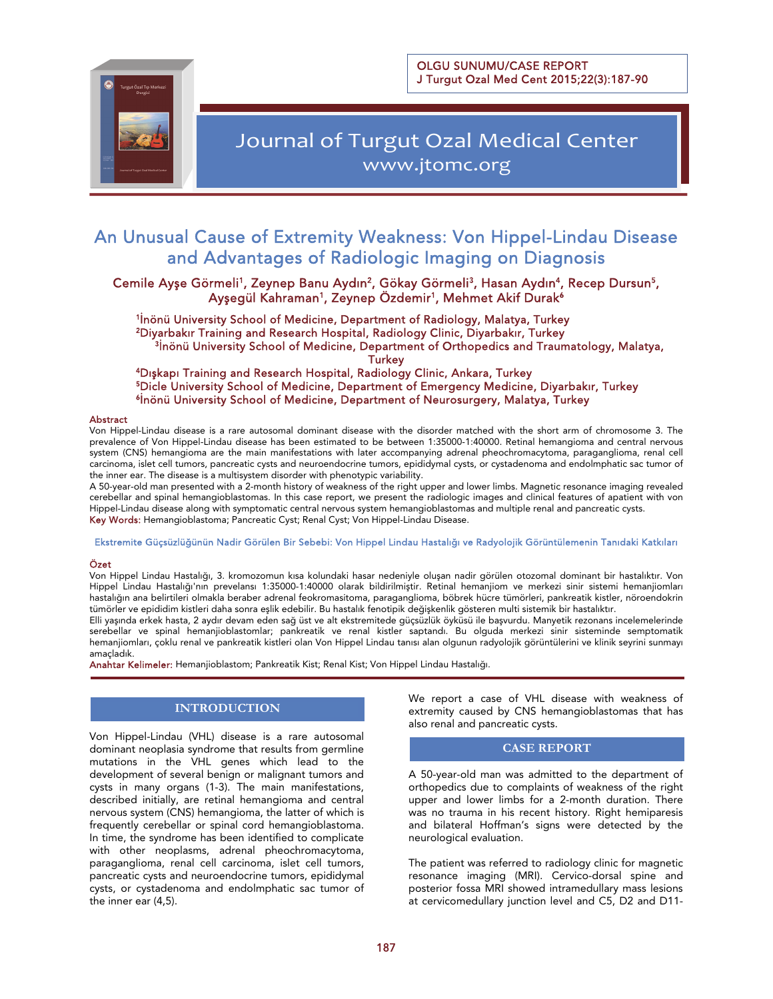OLGU SUNUMU/CASE REPORT J Turgut Ozal Med Cent 2015;22(3):187-90



# Journal of Turgut Ozal Medical Center www.jtomc.org

## An Unusual Cause of Extremity Weakness: Von Hippel-Lindau Disease and Advantages of Radiologic Imaging on Diagnosis

Ξ

Cemile Ayşe Görmeli<sup>1</sup>, Zeynep Banu Aydın<sup>2</sup>, Gökay Görmeli<sup>3</sup>, Hasan Aydın<sup>4</sup>, Recep Dursun<sup>5</sup>, Ayşegül Kahraman<sup>1</sup>, Zeynep Özdemir<sup>1</sup>, Mehmet Akif Durak<sup>6</sup>

<sup>1</sup>İnönü University School of Medicine, Department of Radiology, Malatya, Turkey<br><sup>2</sup>Diyarbakır Training and Research Hospital, Radiology Clinic, Diyarbakır, Turkey <sup>3</sup>İnönü University School of Medicine, Department of Orthopedics and Traumatology, Malatya,

Turkey<br><sup>4</sup>Dışkapı Training and Research Hospital, Radiology Clinic, Ankara, Turkey<br><sup>5</sup>Dicle University School of Medicine, Department of Emergency Medicine, Diyarbakır, Turkey<br><sup>6</sup>İnönü University School of Medicine, Depart

#### Abstract

Von Hippel-Lindau disease is a rare autosomal dominant disease with the disorder matched with the short arm of chromosome 3. The prevalence of Von Hippel-Lindau disease has been estimated to be between 1:35000-1:40000. Retinal hemangioma and central nervous system (CNS) hemangioma are the main manifestations with later accompanying adrenal pheochromacytoma, paraganglioma, renal cell carcinoma, islet cell tumors, pancreatic cysts and neuroendocrine tumors, epididymal cysts, or cystadenoma and endolmphatic sac tumor of the inner ear. The disease is a multisystem disorder with phenotypic variability.

A 50-year-old man presented with a 2-month history of weakness of the right upper and lower limbs. Magnetic resonance imaging revealed cerebellar and spinal hemangioblastomas. In this case report, we present the radiologic images and clinical features of apatient with von Hippel-Lindau disease along with symptomatic central nervous system hemangioblastomas and multiple renal and pancreatic cysts. Key Words: Hemangioblastoma; Pancreatic Cyst; Renal Cyst; Von Hippel-Lindau Disease.

Ekstremite Güçsüzlüğünün Nadir Görülen Bir Sebebi: Von Hippel Lindau Hastalığı ve Radyolojik Görüntülemenin Tanıdaki Katkıları

#### Özet

Von Hippel Lindau Hastalığı, 3. kromozomun kısa kolundaki hasar nedeniyle oluşan nadir görülen otozomal dominant bir hastalıktır. Von Hippel Lindau Hastalığı'nın prevelansı 1:35000-1:40000 olarak bildirilmiştir. Retinal hemanjiom ve merkezi sinir sistemi hemanjiomları hastalığın ana belirtileri olmakla beraber adrenal feokromasitoma, paraganglioma, böbrek hücre tümörleri, pankreatik kistler, nöroendokrin tümörler ve epididim kistleri daha sonra eşlik edebilir. Bu hastalık fenotipik değişkenlik gösteren multi sistemik bir hastalıktır.

Elli yaşında erkek hasta, 2 aydır devam eden sağ üst ve alt ekstremitede güçsüzlük öyküsü ile başvurdu. Manyetik rezonans incelemelerinde serebellar ve spinal hemanjioblastomlar; pankreatik ve renal kistler saptandı. Bu olguda merkezi sinir sisteminde semptomatik hemanjiomları, çoklu renal ve pankreatik kistleri olan Von Hippel Lindau tanısı alan olgunun radyolojik görüntülerini ve klinik seyrini sunmayı amaçladık.

Anahtar Kelimeler: Hemanjioblastom; Pankreatik Kist; Renal Kist; Von Hippel Lindau Hastalığı.

### **INTRODUCTION**

Von Hippel-Lindau (VHL) disease is a rare autosomal dominant neoplasia syndrome that results from germline mutations in the VHL genes which lead to the development of several benign or malignant tumors and cysts in many organs (1-3). The main manifestations, described initially, are retinal hemangioma and central nervous system (CNS) hemangioma, the latter of which is frequently cerebellar or spinal cord hemangioblastoma. In time, the syndrome has been identified to complicate with other neoplasms, adrenal pheochromacytoma, paraganglioma, renal cell carcinoma, islet cell tumors, pancreatic cysts and neuroendocrine tumors, epididymal cysts, or cystadenoma and endolmphatic sac tumor of the inner ear (4,5).

We report a case of VHL disease with weakness of extremity caused by CNS hemangioblastomas that has also renal and pancreatic cysts.

#### **CASE REPORT**

A 50-year-old man was admitted to the department of orthopedics due to complaints of weakness of the right upper and lower limbs for a 2-month duration. There was no trauma in his recent history. Right hemiparesis and bilateral Hoffman's signs were detected by the neurological evaluation.

The patient was referred to radiology clinic for magnetic resonance imaging (MRI). Cervico-dorsal spine and posterior fossa MRI showed intramedullary mass lesions at cervicomedullary junction level and C5, D2 and D11-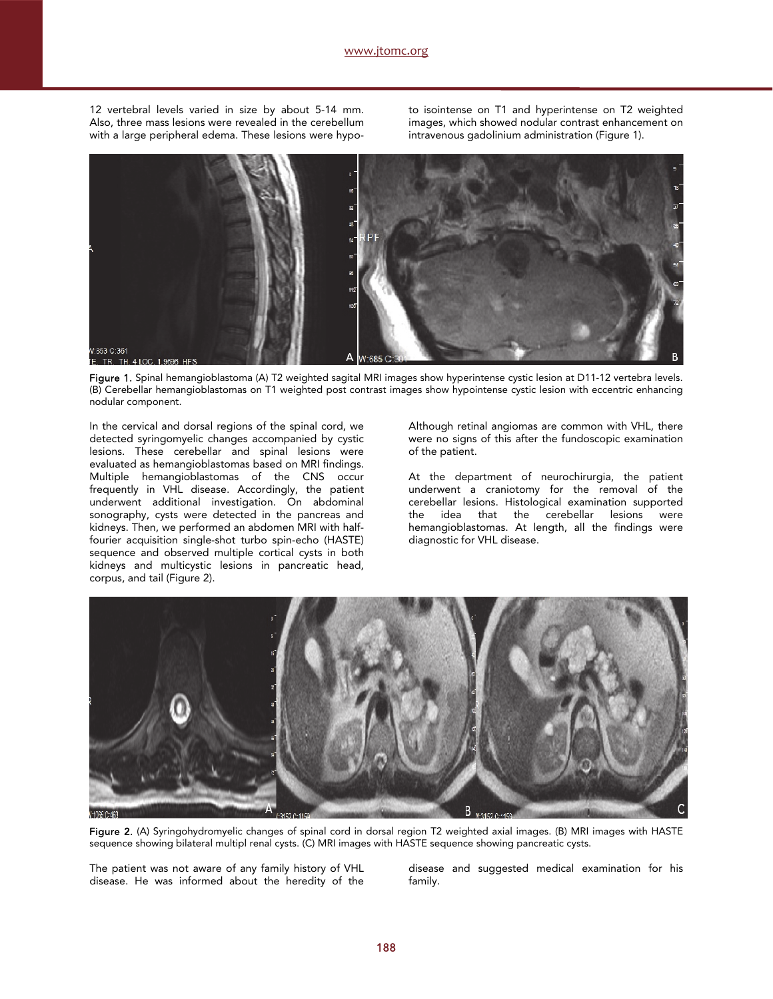12 vertebral levels varied in size by about 5-14 mm. Also, three mass lesions were revealed in the cerebellum with a large peripheral edema. These lesions were hypo-

to isointense on T1 and hyperintense on T2 weighted images, which showed nodular contrast enhancement on intravenous gadolinium administration (Figure 1).



Figure 1. Spinal hemangioblastoma (A) T2 weighted sagital MRI images show hyperintense cystic lesion at D11-12 vertebra levels. (B) Cerebellar hemangioblastomas on T1 weighted post contrast images show hypointense cystic lesion with eccentric enhancing nodular component.

In the cervical and dorsal regions of the spinal cord, we detected syringomyelic changes accompanied by cystic lesions. These cerebellar and spinal lesions were evaluated as hemangioblastomas based on MRI findings. Multiple hemangioblastomas of the CNS occur frequently in VHL disease. Accordingly, the patient underwent additional investigation. On abdominal sonography, cysts were detected in the pancreas and kidneys. Then, we performed an abdomen MRI with halffourier acquisition single-shot turbo spin-echo (HASTE) sequence and observed multiple cortical cysts in both kidneys and multicystic lesions in pancreatic head, corpus, and tail (Figure 2).

Although retinal angiomas are common with VHL, there were no signs of this after the fundoscopic examination of the patient.

At the department of neurochirurgia, the patient underwent a craniotomy for the removal of the cerebellar lesions. Histological examination supported the idea that the cerebellar lesions were hemangioblastomas. At length, all the findings were diagnostic for VHL disease.



Figure 2. (A) Syringohydromyelic changes of spinal cord in dorsal region T2 weighted axial images. (B) MRI images with HASTE sequence showing bilateral multipl renal cysts. (C) MRI images with HASTE sequence showing pancreatic cysts.

The patient was not aware of any family history of VHL disease. He was informed about the heredity of the

disease and suggested medical examination for his family.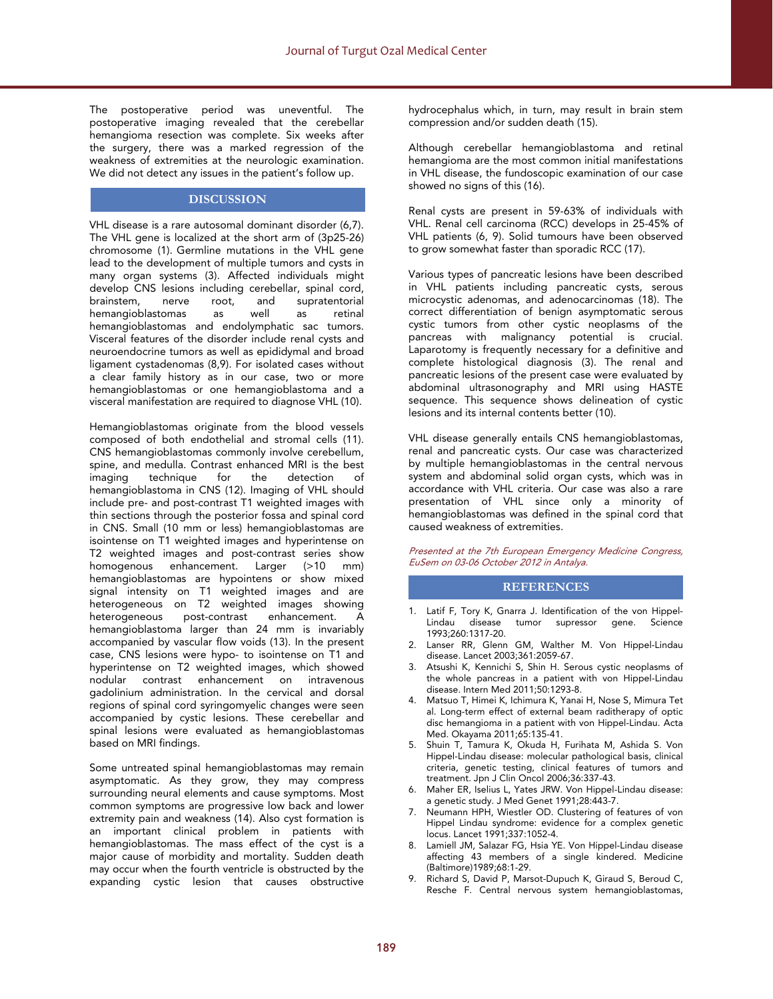The postoperative period was uneventful. The postoperative imaging revealed that the cerebellar hemangioma resection was complete. Six weeks after the surgery, there was a marked regression of the weakness of extremities at the neurologic examination. We did not detect any issues in the patient's follow up.

### **DISCUSSION**

VHL disease is a rare autosomal dominant disorder (6,7). The VHL gene is localized at the short arm of (3p25-26) chromosome (1). Germline mutations in the VHL gene lead to the development of multiple tumors and cysts in many organ systems (3). Affected individuals might develop CNS lesions including cerebellar, spinal cord, and supratentorial<br>well as retinal hemangioblastomas as well as retinal hemangioblastomas and endolymphatic sac tumors. Visceral features of the disorder include renal cysts and neuroendocrine tumors as well as epididymal and broad ligament cystadenomas (8,9). For isolated cases without a clear family history as in our case, two or more hemangioblastomas or one hemangioblastoma and a visceral manifestation are required to diagnose VHL (10).

Hemangioblastomas originate from the blood vessels composed of both endothelial and stromal cells (11). CNS hemangioblastomas commonly involve cerebellum, spine, and medulla. Contrast enhanced MRI is the best<br>imaging technique for the detection of technique for the hemangioblastoma in CNS (12). Imaging of VHL should include pre- and post-contrast T1 weighted images with thin sections through the posterior fossa and spinal cord in CNS. Small (10 mm or less) hemangioblastomas are isointense on T1 weighted images and hyperintense on T2 weighted images and post-contrast series show homogenous enhancement. Larger (>10 mm) hemangioblastomas are hypointens or show mixed signal intensity on T1 weighted images and are heterogeneous on T2 weighted images showing<br>heterogeneous post-contrast enhancement. A post-contrast hemangioblastoma larger than 24 mm is invariably accompanied by vascular flow voids (13). In the present case, CNS lesions were hypo- to isointense on T1 and hyperintense on T2 weighted images, which showed contrast enhancement on intravenous gadolinium administration. In the cervical and dorsal regions of spinal cord syringomyelic changes were seen accompanied by cystic lesions. These cerebellar and spinal lesions were evaluated as hemangioblastomas based on MRI findings.

Some untreated spinal hemangioblastomas may remain asymptomatic. As they grow, they may compress surrounding neural elements and cause symptoms. Most common symptoms are progressive low back and lower extremity pain and weakness (14). Also cyst formation is an important clinical problem in patients with hemangioblastomas. The mass effect of the cyst is a major cause of morbidity and mortality. Sudden death may occur when the fourth ventricle is obstructed by the expanding cystic lesion that causes obstructive

hydrocephalus which, in turn, may result in brain stem compression and/or sudden death (15).

Although cerebellar hemangioblastoma and retinal hemangioma are the most common initial manifestations in VHL disease, the fundoscopic examination of our case showed no signs of this (16).

Renal cysts are present in 59-63% of individuals with VHL. Renal cell carcinoma (RCC) develops in 25-45% of VHL patients (6, 9). Solid tumours have been observed to grow somewhat faster than sporadic RCC (17).

Various types of pancreatic lesions have been described in VHL patients including pancreatic cysts, serous microcystic adenomas, and adenocarcinomas (18). The correct differentiation of benign asymptomatic serous cystic tumors from other cystic neoplasms of the pancreas with malignancy potential is crucial. Laparotomy is frequently necessary for a definitive and complete histological diagnosis (3). The renal and pancreatic lesions of the present case were evaluated by abdominal ultrasonography and MRI using HASTE sequence. This sequence shows delineation of cystic lesions and its internal contents better (10).

VHL disease generally entails CNS hemangioblastomas, renal and pancreatic cysts. Our case was characterized by multiple hemangioblastomas in the central nervous system and abdominal solid organ cysts, which was in accordance with VHL criteria. Our case was also a rare presentation of VHL since only a minority of hemangioblastomas was defined in the spinal cord that caused weakness of extremities.

Presented at the 7th European Emergency Medicine Congress, EuSem on 03-06 October 2012 in Antalya.

#### **REFERENCES**

- 1. Latif F, Tory K, Gnarra J. Identification of the von Hippel-Lindau disease tumor supressor gene. Science 1993;260:1317-20.
- 2. Lanser RR, Glenn GM, Walther M. Von Hippel-Lindau disease. Lancet 2003;361:2059-67.
- 3. Atsushi K, Kennichi S, Shin H. Serous cystic neoplasms of the whole pancreas in a patient with von Hippel-Lindau disease. Intern Med 2011;50:1293-8.
- 4. Matsuo T, Himei K, Ichimura K, Yanai H, Nose S, Mimura Tet al. Long-term effect of external beam raditherapy of optic disc hemangioma in a patient with von Hippel-Lindau. Acta Med. Okayama 2011;65:135-41.
- 5. Shuin T, Tamura K, Okuda H, Furihata M, Ashida S. Von Hippel-Lindau disease: molecular pathological basis, clinical criteria, genetic testing, clinical features of tumors and treatment. Jpn J Clin Oncol 2006;36:337-43.
- 6. Maher ER, Iselius L, Yates JRW. Von Hippel-Lindau disease: a genetic study. J Med Genet 1991;28:443-7.
- 7. Neumann HPH, Wiestler OD. Clustering of features of von Hippel Lindau syndrome: evidence for a complex genetic locus. Lancet 1991;337:1052-4.
- 8. Lamiell JM, Salazar FG, Hsia YE. Von Hippel-Lindau disease affecting 43 members of a single kindered. Medicine (Baltimore)1989;68:1-29.
- 9. Richard S, David P, Marsot-Dupuch K, Giraud S, Beroud C, Resche F. Central nervous system hemangioblastomas,